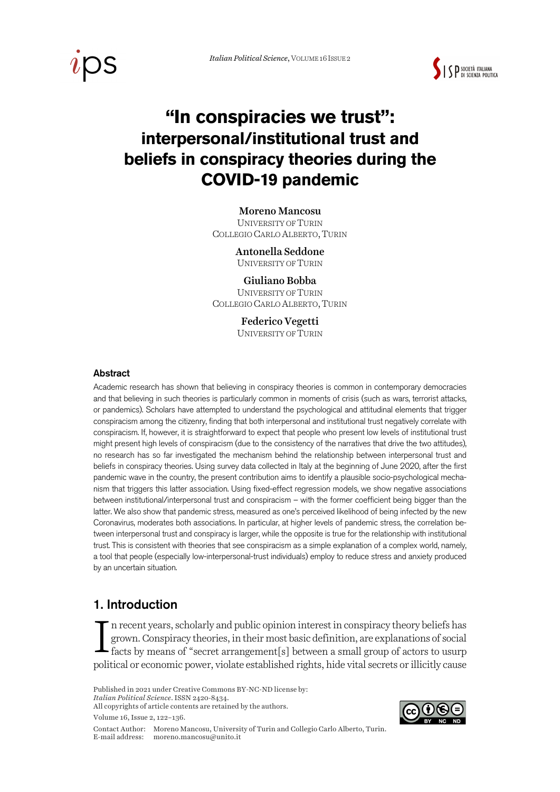



# **"In conspiracies we trust": interpersonal/institutional trust and beliefs in conspiracy theories during the COVID-19 pandemic**

#### Moreno Mancosu

UNIVERSITY OF TURIN COLLEGIO CARLO ALBERTO,TURIN

> Antonella Seddone UNIVERSITY OF TURIN

#### Giuliano Bobba UNIVERSITY OF TURIN

COLLEGIO CARLO ALBERTO,TURIN

Federico Vegetti UNIVERSITY OF TURIN

#### Abstract

Academic research has shown that believing in conspiracy theories is common in contemporary democracies and that believing in such theories is particularly common in moments of crisis (such as wars, terrorist attacks, or pandemics). Scholars have attempted to understand the psychological and attitudinal elements that trigger conspiracism among the citizenry, finding that both interpersonal and institutional trust negatively correlate with conspiracism. If, however, it is straightforward to expect that people who present low levels of institutional trust might present high levels of conspiracism (due to the consistency of the narratives that drive the two attitudes), no research has so far investigated the mechanism behind the relationship between interpersonal trust and beliefs in conspiracy theories. Using survey data collected in Italy at the beginning of June 2020, after the first pandemic wave in the country, the present contribution aims to identify a plausible socio-psychological mechanism that triggers this latter association. Using fixed-effect regression models, we show negative associations between institutional/interpersonal trust and conspiracism – with the former coefficient being bigger than the latter. We also show that pandemic stress, measured as one's perceived likelihood of being infected by the new Coronavirus, moderates both associations. In particular, at higher levels of pandemic stress, the correlation between interpersonal trust and conspiracy is larger, while the opposite is true for the relationship with institutional trust. This is consistent with theories that see conspiracism as a simple explanation of a complex world, namely, a tool that people (especially low-interpersonal-trust individuals) employ to reduce stress and anxiety produced by an uncertain situation.

### 1. Introduction

n recent years, scholarly and public opinion interest in conspiracy theory beliefs has grown. Conspiracy theories, in their most basic definition, are explanations of social facts by means of "secret arrangement[s] between a small group of actors to usurp political or economic power, violate established rights, hide vital secrets or illicitly cause I

Published in 2021 under Creative Commons BY-NC-ND license by:

*Italian Political Science*. ISSN 2420-8434. All copyrights of article contents are retained by the authors.

Volume 16, Issue 2, 122–136.

Contact Author: Moreno Mancosu, University of Turin and Collegio Carlo Alberto, Turin. E-mail address: moreno.mancosu@unito.it

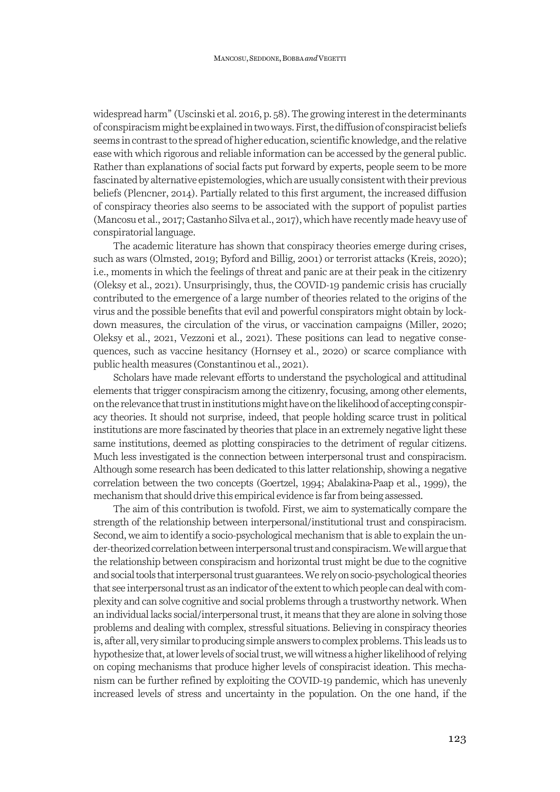widespread harm" (Uscinski et al. 2016, p. 58). The growing interest in the determinants of conspiracism might be explained in two ways. First, the diffusion of conspiracist beliefs seems in contrast to the spread of higher education, scientific knowledge, and the relative ease with which rigorous and reliable information can be accessed by the general public. Rather than explanations of social facts put forward by experts, people seem to be more fascinated by alternative epistemologies, which are usually consistent with their previous beliefs (Plencner, 2014). Partially related to this first argument, the increased diffusion of conspiracy theories also seems to be associated with the support of populist parties (Mancosu et al., 2017; Castanho Silva et al., 2017), which have recently made heavy use of conspiratorial language.

The academic literature has shown that conspiracy theories emerge during crises, such as wars (Olmsted, 2019; Byford and Billig, 2001) or terrorist attacks (Kreis, 2020); i.e., moments in which the feelings of threat and panic are at their peak in the citizenry (Oleksy et al., 2021). Unsurprisingly, thus, the COVID-19 pandemic crisis has crucially contributed to the emergence of a large number of theories related to the origins of the virus and the possible benefits that evil and powerful conspirators might obtain by lockdown measures, the circulation of the virus, or vaccination campaigns (Miller, 2020; Oleksy et al., 2021, Vezzoni et al., 2021). These positions can lead to negative consequences, such as vaccine hesitancy (Hornsey et al., 2020) or scarce compliance with public health measures (Constantinou et al., 2021).

Scholars have made relevant efforts to understand the psychological and attitudinal elements that trigger conspiracism among the citizenry, focusing, among other elements, on the relevance that trust in institutions might have on the likelihood of accepting conspiracy theories. It should not surprise, indeed, that people holding scarce trust in political institutions are more fascinated by theories that place in an extremely negative light these same institutions, deemed as plotting conspiracies to the detriment of regular citizens. Much less investigated is the connection between interpersonal trust and conspiracism. Although some research has been dedicated to this latter relationship, showing a negative correlation between the two concepts (Goertzel, 1994; Abalakina-Paap et al., 1999), the mechanism that should drive this empirical evidence is far from being assessed.

The aim of this contribution is twofold. First, we aim to systematically compare the strength of the relationship between interpersonal/institutional trust and conspiracism. Second, we aim to identify a socio-psychological mechanism that is able to explain the under-theorized correlation between interpersonal trust and conspiracism. We will argue that the relationship between conspiracism and horizontal trust might be due to the cognitive and social tools that interpersonal trust guarantees. We rely on socio-psychological theories that see interpersonal trust as an indicator of the extent to which people can deal with complexity and can solve cognitive and social problems through a trustworthy network. When an individual lacks social/interpersonal trust, it means that they are alone in solving those problems and dealing with complex, stressful situations. Believing in conspiracy theories is, after all, very similar to producing simple answers to complex problems. This leads us to hypothesize that, at lower levels of social trust, we will witness a higher likelihood of relying on coping mechanisms that produce higher levels of conspiracist ideation. This mechanism can be further refined by exploiting the COVID-19 pandemic, which has unevenly increased levels of stress and uncertainty in the population. On the one hand, if the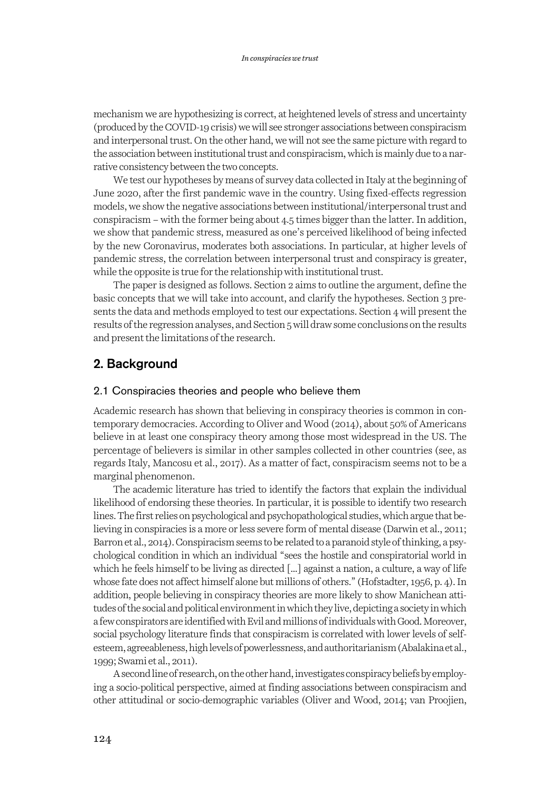mechanism we are hypothesizing is correct, at heightened levels of stress and uncertainty (produced by the COVID-19 crisis) we will see stronger associations between conspiracism and interpersonal trust. On the other hand, we will not see the same picture with regard to the association between institutional trust and conspiracism, which is mainly due to a narrative consistency between the two concepts.

We test our hypotheses by means of survey data collected in Italy at the beginning of June 2020, after the first pandemic wave in the country. Using fixed-effects regression models, we show the negative associations between institutional/interpersonal trust and conspiracism – with the former being about 4.5 times bigger than the latter. In addition, we show that pandemic stress, measured as one's perceived likelihood of being infected by the new Coronavirus, moderates both associations. In particular, at higher levels of pandemic stress, the correlation between interpersonal trust and conspiracy is greater, while the opposite is true for the relationship with institutional trust.

The paper is designed as follows. Section 2 aims to outline the argument, define the basic concepts that we will take into account, and clarify the hypotheses. Section 3 presents the data and methods employed to test our expectations. Section 4 will present the results of the regression analyses, and Section 5 will draw some conclusions on the results and present the limitations of the research.

### 2. Background

#### 2.1 Conspiracies theories and people who believe them

Academic research has shown that believing in conspiracy theories is common in contemporary democracies. According to Oliver and Wood (2014), about 50% of Americans believe in at least one conspiracy theory among those most widespread in the US. The percentage of believers is similar in other samples collected in other countries (see, as regards Italy, Mancosu et al., 2017). As a matter of fact, conspiracism seems not to be a marginal phenomenon.

The academic literature has tried to identify the factors that explain the individual likelihood of endorsing these theories. In particular, it is possible to identify two research lines. The first relies on psychological and psychopathological studies, which argue that believing in conspiracies is a more or less severe form of mental disease (Darwin et al., 2011; Barron et al., 2014). Conspiracism seems to be related to a paranoid style of thinking, a psychological condition in which an individual "sees the hostile and conspiratorial world in which he feels himself to be living as directed […] against a nation, a culture, a way of life whose fate does not affect himself alone but millions of others." (Hofstadter, 1956, p. 4). In addition, people believing in conspiracy theories are more likely to show Manichean attitudes of the social and political environment in which they live, depicting a society in which a few conspirators are identified with Evil and millions of individuals with Good. Moreover, social psychology literature finds that conspiracism is correlated with lower levels of selfesteem, agreeableness, high levels of powerlessness, and authoritarianism (Abalakina et al., 1999; Swami et al., 2011).

A second line of research, on the other hand, investigates conspiracy beliefs by employing a socio-political perspective, aimed at finding associations between conspiracism and other attitudinal or socio-demographic variables (Oliver and Wood, 2014; van Proojien,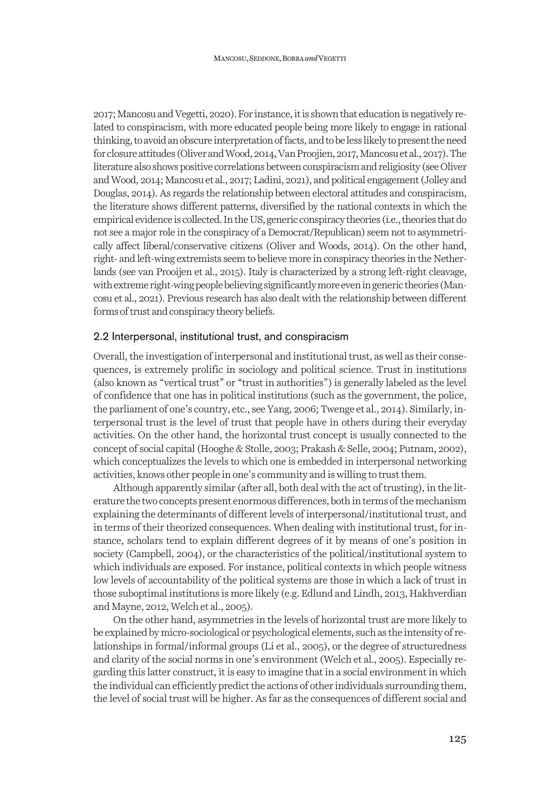2017; Mancosu and Vegetti, 2020). For instance, it is shown that education is negatively related to conspiracism, with more educated people being more likely to engage in rational thinking, to avoid an obscure interpretation of facts, and to be less likely to present the need for closure attitudes (Oliver and Wood, 2014, Van Proojien, 2017, Mancosu et al., 2017). The literature also shows positive correlations between conspiracism and religiosity (see Oliver and Wood, 2014; Mancosu et al., 2017; Ladini, 2021), and political engagement (Jolley and Douglas, 2014). As regards the relationship between electoral attitudes and conspiracism, the literature shows different patterns, diversified by the national contexts in which the empirical evidence is collected. In the US, generic conspiracy theories (i.e., theories that do not see a major role in the conspiracy of a Democrat/Republican) seem not to asymmetrically affect liberal/conservative citizens (Oliver and Woods, 2014). On the other hand, right- and left-wing extremists seem to believe more in conspiracy theories in the Netherlands (see van Prooijen et al., 2015). Italy is characterized by a strong left-right cleavage, with extreme right-wing people believing significantly more even in generic theories (Mancosu et al., 2021). Previous research has also dealt with the relationship between different forms of trust and conspiracy theory beliefs.

### 2.2 Interpersonal, institutional trust, and conspiracism

Overall, the investigation of interpersonal and institutional trust, as well as their consequences, is extremely prolific in sociology and political science. Trust in institutions (also known as "vertical trust" or "trust in authorities") is generally labeled as the level of confidence that one has in political institutions (such as the government, the police, the parliament of one's country, etc., see Yang, 2006; Twenge et al., 2014). Similarly, interpersonal trust is the level of trust that people have in others during their everyday activities. On the other hand, the horizontal trust concept is usually connected to the concept of social capital (Hooghe & Stolle, 2003; Prakash & Selle, 2004; Putnam, 2002), which conceptualizes the levels to which one is embedded in interpersonal networking activities, knows other people in one's community and is willing to trust them.

Although apparently similar (after all, both deal with the act of trusting), in the literature the two concepts present enormous differences, both in terms of the mechanism explaining the determinants of different levels of interpersonal/institutional trust, and in terms of their theorized consequences. When dealing with institutional trust, for instance, scholars tend to explain different degrees of it by means of one's position in society (Campbell, 2004), or the characteristics of the political/institutional system to which individuals are exposed. For instance, political contexts in which people witness low levels of accountability of the political systems are those in which a lack of trust in those suboptimal institutions is more likely (e.g. Edlund and Lindh, 2013, Hakhverdian and Mayne, 2012, Welch et al., 2005).

On the other hand, asymmetries in the levels of horizontal trust are more likely to be explained by micro-sociological or psychological elements, such as the intensity of relationships in formal/informal groups (Li et al., 2005), or the degree of structuredness and clarity of the social norms in one's environment (Welch et al., 2005). Especially regarding this latter construct, it is easy to imagine that in a social environment in which the individual can efficiently predict the actions of other individuals surrounding them, the level of social trust will be higher. As far as the consequences of different social and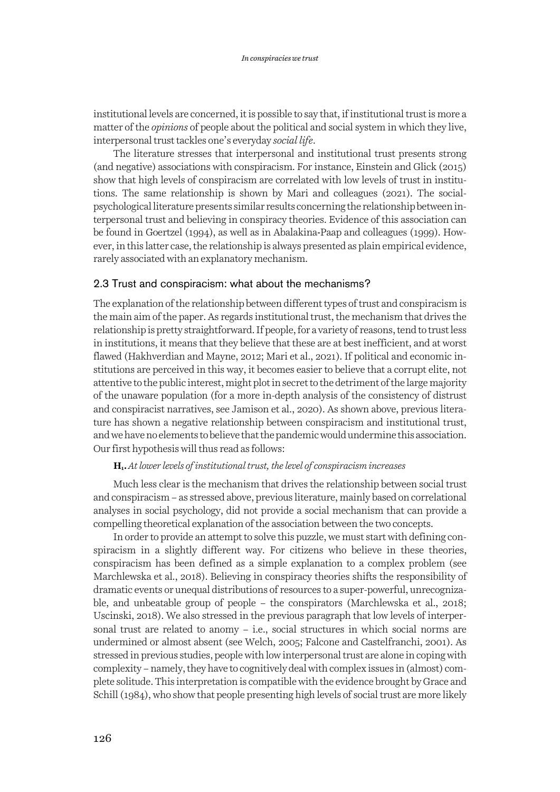institutional levels are concerned, it is possible to say that, if institutional trust is more a matter of the *opinions* of people about the political and social system in which they live, interpersonal trust tackles one's everyday *social life*.

The literature stresses that interpersonal and institutional trust presents strong (and negative) associations with conspiracism. For instance, Einstein and Glick (2015) show that high levels of conspiracism are correlated with low levels of trust in institutions. The same relationship is shown by Mari and colleagues (2021). The socialpsychological literature presents similar results concerning the relationship between interpersonal trust and believing in conspiracy theories. Evidence of this association can be found in Goertzel (1994), as well as in Abalakina-Paap and colleagues (1999). However, in this latter case, the relationship is always presented as plain empirical evidence, rarely associated with an explanatory mechanism.

#### 2.3 Trust and conspiracism: what about the mechanisms?

The explanation of the relationship between different types of trust and conspiracism is the main aim of the paper. As regards institutional trust, the mechanism that drives the relationship is pretty straightforward. If people, for a variety of reasons, tend to trust less in institutions, it means that they believe that these are at best inefficient, and at worst flawed (Hakhverdian and Mayne, 2012; Mari et al., 2021). If political and economic institutions are perceived in this way, it becomes easier to believe that a corrupt elite, not attentive to the public interest, might plot in secret to the detriment of the large majority of the unaware population (for a more in-depth analysis of the consistency of distrust and conspiracist narratives, see Jamison et al., 2020). As shown above, previous literature has shown a negative relationship between conspiracism and institutional trust, and we have no elements to believe that the pandemic would undermine this association. Our first hypothesis will thus read as follows:

#### **H1.***At lower levels of institutional trust, the level of conspiracism increases*

Much less clear is the mechanism that drives the relationship between social trust and conspiracism – as stressed above, previous literature, mainly based on correlational analyses in social psychology, did not provide a social mechanism that can provide a compelling theoretical explanation of the association between the two concepts.

In order to provide an attempt to solve this puzzle, we must start with defining conspiracism in a slightly different way. For citizens who believe in these theories, conspiracism has been defined as a simple explanation to a complex problem (see Marchlewska et al., 2018). Believing in conspiracy theories shifts the responsibility of dramatic events or unequal distributions of resources to a super-powerful, unrecognizable, and unbeatable group of people – the conspirators (Marchlewska et al., 2018; Uscinski, 2018). We also stressed in the previous paragraph that low levels of interpersonal trust are related to anomy – i.e., social structures in which social norms are undermined or almost absent (see Welch, 2005; Falcone and Castelfranchi, 2001). As stressed in previous studies, people with low interpersonal trust are alone in coping with complexity –namely, they have to cognitively deal with complex issues in (almost) complete solitude. This interpretation is compatible with the evidence brought by Grace and Schill (1984), who show that people presenting high levels of social trust are more likely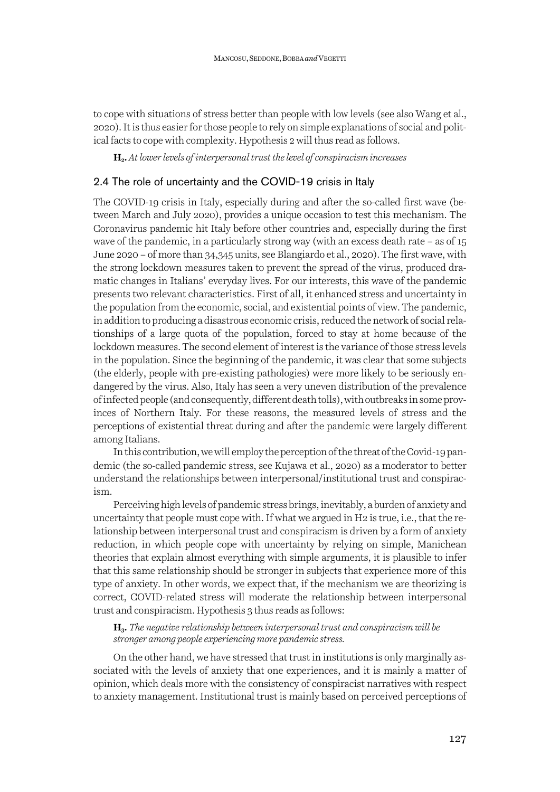to cope with situations of stress better than people with low levels (see also Wang et al., 2020). It is thus easier for those people to rely on simple explanations of social and political facts to cope with complexity. Hypothesis 2 will thus read as follows.

**H2.***At lower levels of interpersonal trust the level of conspiracism increases*

### 2.4 The role of uncertainty and the COVID-19 crisis in Italy

The COVID-19 crisis in Italy, especially during and after the so-called first wave (between March and July 2020), provides a unique occasion to test this mechanism. The Coronavirus pandemic hit Italy before other countries and, especially during the first wave of the pandemic, in a particularly strong way (with an excess death rate – as of 15 June 2020 – of more than 34,345 units, see Blangiardo et al., 2020). The first wave, with the strong lockdown measures taken to prevent the spread of the virus, produced dramatic changes in Italians' everyday lives. For our interests, this wave of the pandemic presents two relevant characteristics. First of all, it enhanced stress and uncertainty in the population from the economic, social, and existential points of view. The pandemic, in addition to producing a disastrous economic crisis, reduced the network of social relationships of a large quota of the population, forced to stay at home because of the lockdown measures. The second element of interest is the variance of those stress levels in the population. Since the beginning of the pandemic, it was clear that some subjects (the elderly, people with pre-existing pathologies) were more likely to be seriously endangered by the virus. Also, Italy has seen a very uneven distribution of the prevalence of infected people (and consequently, different death tolls), with outbreaks in some provinces of Northern Italy. For these reasons, the measured levels of stress and the perceptions of existential threat during and after the pandemic were largely different among Italians.

In this contribution, we will employ the perception of the threat of the Covid-19 pandemic (the so-called pandemic stress, see Kujawa et al., 2020) as a moderator to better understand the relationships between interpersonal/institutional trust and conspiracism.

Perceiving high levels of pandemic stress brings, inevitably, a burden of anxiety and uncertainty that people must cope with. If what we argued in H2 is true, i.e., that the relationship between interpersonal trust and conspiracism is driven by a form of anxiety reduction, in which people cope with uncertainty by relying on simple, Manichean theories that explain almost everything with simple arguments, it is plausible to infer that this same relationship should be stronger in subjects that experience more of this type of anxiety. In other words, we expect that, if the mechanism we are theorizing is correct, COVID-related stress will moderate the relationship between interpersonal trust and conspiracism. Hypothesis 3 thus reads as follows:

**H3.** *The negative relationship between interpersonal trust and conspiracism will be stronger among people experiencing more pandemic stress.*

On the other hand, we have stressed that trust in institutions is only marginally associated with the levels of anxiety that one experiences, and it is mainly a matter of opinion, which deals more with the consistency of conspiracist narratives with respect to anxiety management. Institutional trust is mainly based on perceived perceptions of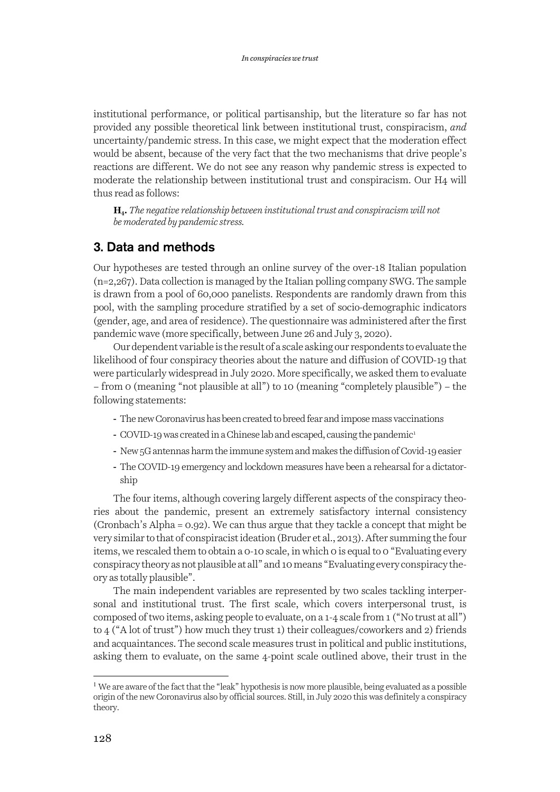institutional performance, or political partisanship, but the literature so far has not provided any possible theoretical link between institutional trust, conspiracism, *and* uncertainty/pandemic stress. In this case, we might expect that the moderation effect would be absent, because of the very fact that the two mechanisms that drive people's reactions are different. We do not see any reason why pandemic stress is expected to moderate the relationship between institutional trust and conspiracism. Our H4 will thus read as follows:

**H4.***The negative relationship between institutional trust and conspiracism will not be moderated by pandemic stress.*

### 3. Data and methods

Our hypotheses are tested through an online survey of the over-18 Italian population (n=2,267). Data collection is managed by the Italian polling company SWG. The sample is drawn from a pool of 60,000 panelists. Respondents are randomly drawn from this pool, with the sampling procedure stratified by a set of socio-demographic indicators (gender, age, and area of residence). The questionnaire was administered after the first pandemic wave (more specifically, between June 26 and July 3, 2020).

Our dependent variable is the result of a scale asking our respondents to evaluate the likelihood of four conspiracy theories about the nature and diffusion of COVID-19 that were particularly widespread in July 2020. More specifically, we asked them to evaluate – from 0 (meaning "not plausible at all") to 10 (meaning "completely plausible") – the following statements:

- The new Coronavirus has been created to breed fear and impose mass vaccinations
- COVID-19 was created in a Chinese lab and escaped, causing the pandemic<sup>1</sup>
- New 5G antennas harm the immune system and makes the diffusion of Covid-19 easier
- The COVID-19 emergency and lockdown measures have been a rehearsal for a dictatorship

The four items, although covering largely different aspects of the conspiracy theories about the pandemic, present an extremely satisfactory internal consistency (Cronbach's Alpha = 0.92). We can thus argue that they tackle a concept that might be very similar to that of conspiracist ideation (Bruder et al., 2013). After summing the four items, we rescaled them to obtain a 0-10 scale, in which 0 is equal to 0 "Evaluating every conspiracy theory as not plausible at all" and 10 means "Evaluating every conspiracy theory as totally plausible".

The main independent variables are represented by two scales tackling interpersonal and institutional trust. The first scale, which covers interpersonal trust, is composed of two items, asking people to evaluate, on a 1-4 scale from 1 ("No trust at all") to 4 ("A lot of trust") how much they trust 1) their colleagues/coworkers and 2) friends and acquaintances. The second scale measures trust in political and public institutions, asking them to evaluate, on the same 4-point scale outlined above, their trust in the

<sup>&</sup>lt;sup>1</sup> We are aware of the fact that the "leak" hypothesis is now more plausible, being evaluated as a possible origin of the new Coronavirus also by official sources. Still, in July 2020 this was definitely a conspiracy theory.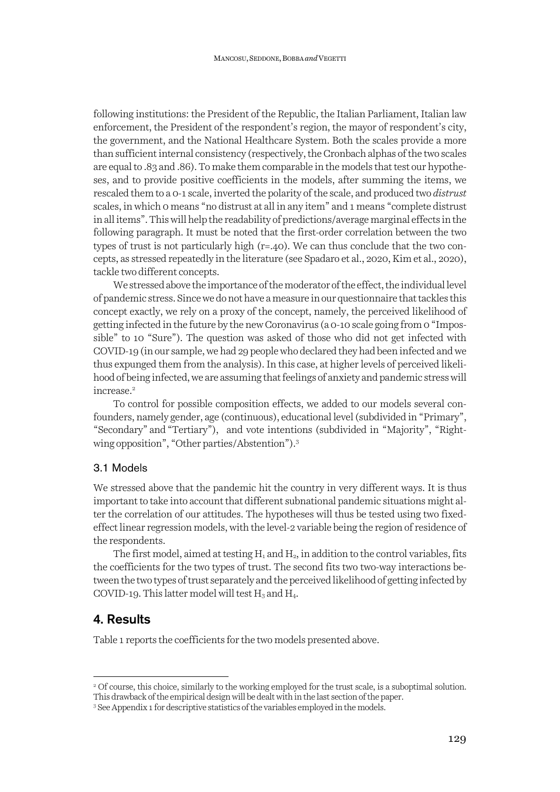following institutions: the President of the Republic, the Italian Parliament, Italian law enforcement, the President of the respondent's region, the mayor of respondent's city, the government, and the National Healthcare System. Both the scales provide a more than sufficient internal consistency (respectively, the Cronbach alphas of the two scales are equal to .83 and .86). To make them comparable in the models that test our hypotheses, and to provide positive coefficients in the models, after summing the items, we rescaled them to a 0-1 scale, inverted the polarity of the scale, and produced two *distrust*  scales, in which 0 means "no distrust at all in any item" and 1 means "complete distrust in all items". This will help the readability of predictions/average marginal effects in the following paragraph. It must be noted that the first-order correlation between the two types of trust is not particularly high (r=.40). We can thus conclude that the two concepts, as stressed repeatedly in the literature (see Spadaro et al., 2020, Kim et al., 2020), tackle two different concepts.

We stressed above the importance of the moderator of the effect, the individual level of pandemic stress. Since we do not have a measure in our questionnaire that tackles this concept exactly, we rely on a proxy of the concept, namely, the perceived likelihood of getting infected in the future by the new Coronavirus (a 0-10 scale going from 0 "Impossible" to 10 "Sure"). The question was asked of those who did not get infected with COVID-19 (in our sample, we had 29 people who declared they had been infected and we thus expunged them from the analysis). In this case, at higher levels of perceived likelihood of being infected, we are assuming that feelings of anxiety and pandemic stress will increase. 2

To control for possible composition effects, we added to our models several confounders, namely gender, age (continuous), educational level (subdivided in "Primary", "Secondary" and "Tertiary"), and vote intentions (subdivided in "Majority", "Rightwing opposition", "Other parties/Abstention"). 3

#### 3.1 Models

We stressed above that the pandemic hit the country in very different ways. It is thus important to take into account that different subnational pandemic situations might alter the correlation of our attitudes. The hypotheses will thus be tested using two fixedeffect linear regression models, with the level-2 variable being the region of residence of the respondents.

The first model, aimed at testing  $H_1$  and  $H_2$ , in addition to the control variables, fits the coefficients for the two types of trust. The second fits two two-way interactions between the two types of trust separately and the perceived likelihood of getting infected by COVID-19. This latter model will test  $H_3$  and  $H_4$ .

### 4. Results

Table 1 reports the coefficients for the two models presented above.

<sup>2</sup> Of course, this choice, similarly to the working employed for the trust scale, is a suboptimal solution. This drawback of the empirical design will be dealt with in the last section of the paper.

<sup>&</sup>lt;sup>3</sup> See Appendix 1 for descriptive statistics of the variables employed in the models.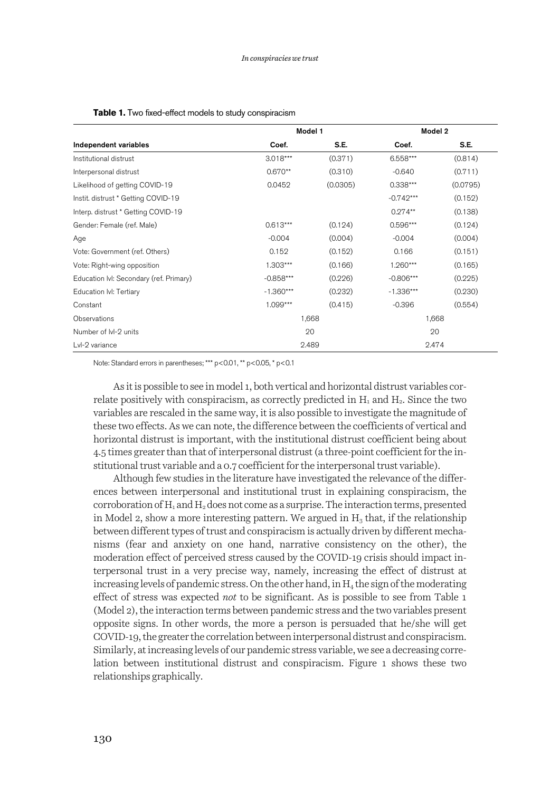|                                         | Model 1     |          | Model 2     |          |  |  |
|-----------------------------------------|-------------|----------|-------------|----------|--|--|
| Independent variables                   | Coef.       | S.E.     | Coef.       | S.E.     |  |  |
| Institutional distrust                  | $3.018***$  | (0.371)  | 6.558***    | (0.814)  |  |  |
| Interpersonal distrust                  | $0.670**$   | (0.310)  | $-0.640$    | (0.711)  |  |  |
| Likelihood of getting COVID-19          | 0.0452      | (0.0305) | 0.338***    | (0.0795) |  |  |
| Instit. distrust * Getting COVID-19     |             |          | $-0.742***$ | (0.152)  |  |  |
| Interp. distrust * Getting COVID-19     |             |          | $0.274**$   | (0.138)  |  |  |
| Gender: Female (ref. Male)              | $0.613***$  | (0.124)  | 0.596***    | (0.124)  |  |  |
| Age                                     | $-0.004$    | (0.004)  | $-0.004$    | (0.004)  |  |  |
| Vote: Government (ref. Others)          | 0.152       | (0.152)  | 0.166       | (0.151)  |  |  |
| Vote: Right-wing opposition             | 1.303***    | (0.166)  | $1.260***$  | (0.165)  |  |  |
| Education IvI: Secondary (ref. Primary) | $-0.858***$ | (0.226)  | $-0.806***$ | (0.225)  |  |  |
| Education IvI: Tertiary                 | $-1.360***$ | (0.232)  | $-1.336***$ | (0.230)  |  |  |
| Constant                                | 1.099***    | (0.415)  | $-0.396$    | (0.554)  |  |  |
| Observations                            | 1,668       |          | 1,668       |          |  |  |
| Number of IvI-2 units                   |             | 20       |             | 20       |  |  |
| Lvl-2 variance                          |             | 2.489    |             | 2.474    |  |  |

| Table 1. Two fixed-effect models to study conspiracism |
|--------------------------------------------------------|
|--------------------------------------------------------|

Note: Standard errors in parentheses; \*\*\* p<0.01, \*\* p<0.05, \* p<0.1

As it is possible to see in model 1, both vertical and horizontal distrust variables correlate positively with conspiracism, as correctly predicted in  $H_1$  and  $H_2$ . Since the two variables are rescaled in the same way, it is also possible to investigate the magnitude of these two effects. As we can note, the difference between the coefficients of vertical and horizontal distrust is important, with the institutional distrust coefficient being about 4.5 times greater than that of interpersonal distrust (a three-point coefficient for the institutional trust variable and a 0.7 coefficient for the interpersonal trust variable).

Although few studies in the literature have investigated the relevance of the differences between interpersonal and institutional trust in explaining conspiracism, the corroboration of  $H_1$  and  $H_2$  does not come as a surprise. The interaction terms, presented in Model 2, show a more interesting pattern. We argued in  $H_3$  that, if the relationship between different types of trust and conspiracism is actually driven by different mechanisms (fear and anxiety on one hand, narrative consistency on the other), the moderation effect of perceived stress caused by the COVID-19 crisis should impact interpersonal trust in a very precise way, namely, increasing the effect of distrust at increasing levels of pandemic stress. On the other hand, in  $H_4$  the sign of the moderating effect of stress was expected *not* to be significant. As is possible to see from Table 1 (Model 2), the interaction terms between pandemic stress and the two variables present opposite signs. In other words, the more a person is persuaded that he/she will get COVID-19, the greater the correlation between interpersonal distrust and conspiracism. Similarly, at increasing levels of our pandemic stress variable, we see a decreasing correlation between institutional distrust and conspiracism. Figure 1 shows these two relationships graphically.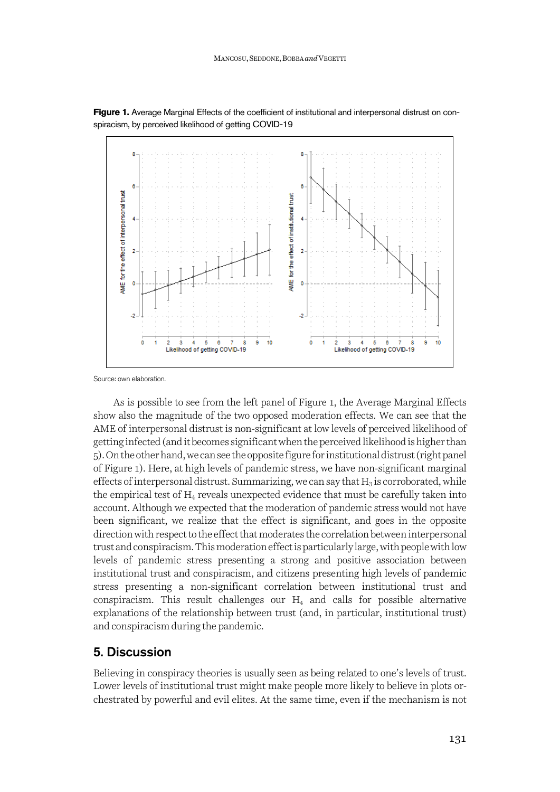

**Figure 1.** Average Marginal Effects of the coefficient of institutional and interpersonal distrust on conspiracism, by perceived likelihood of getting COVID-19

Source: own elaboration.

As is possible to see from the left panel of Figure 1, the Average Marginal Effects show also the magnitude of the two opposed moderation effects. We can see that the AME of interpersonal distrust is non-significant at low levels of perceived likelihood of getting infected (and it becomes significant when the perceived likelihood is higher than 5). On the other hand, we can see the opposite figure for institutional distrust (right panel of Figure 1). Here, at high levels of pandemic stress, we have non-significant marginal effects of interpersonal distrust. Summarizing, we can say that  $H_3$  is corroborated, while the empirical test of  $H_4$  reveals unexpected evidence that must be carefully taken into account. Although we expected that the moderation of pandemic stress would not have been significant, we realize that the effect is significant, and goes in the opposite direction with respect to the effect that moderates the correlation between interpersonal trust and conspiracism.This moderation effect is particularly large, with people with low levels of pandemic stress presenting a strong and positive association between institutional trust and conspiracism, and citizens presenting high levels of pandemic stress presenting a non-significant correlation between institutional trust and conspiracism. This result challenges our  $H_4$  and calls for possible alternative explanations of the relationship between trust (and, in particular, institutional trust) and conspiracism during the pandemic.

### 5. Discussion

Believing in conspiracy theories is usually seen as being related to one's levels of trust. Lower levels of institutional trust might make people more likely to believe in plots orchestrated by powerful and evil elites. At the same time, even if the mechanism is not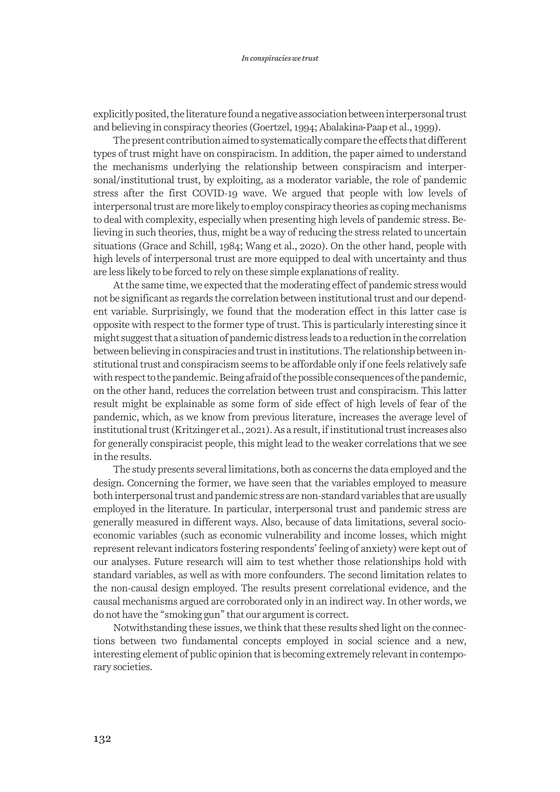explicitly posited, the literature found a negative association between interpersonal trust and believing in conspiracy theories (Goertzel, 1994; Abalakina-Paap et al., 1999).

The present contribution aimed to systematically compare the effects that different types of trust might have on conspiracism. In addition, the paper aimed to understand the mechanisms underlying the relationship between conspiracism and interpersonal/institutional trust, by exploiting, as a moderator variable, the role of pandemic stress after the first COVID-19 wave. We argued that people with low levels of interpersonal trust are more likely to employ conspiracy theories as coping mechanisms to deal with complexity, especially when presenting high levels of pandemic stress. Believing in such theories, thus, might be a way of reducing the stress related to uncertain situations (Grace and Schill, 1984; Wang et al., 2020). On the other hand, people with high levels of interpersonal trust are more equipped to deal with uncertainty and thus are less likely to be forced to rely on these simple explanations of reality.

At the same time, we expected that the moderating effect of pandemic stress would not be significant as regards the correlation between institutional trust and our dependent variable. Surprisingly, we found that the moderation effect in this latter case is opposite with respect to the former type of trust. This is particularly interesting since it might suggest that a situation of pandemic distress leads to a reduction in the correlation between believing in conspiracies and trust in institutions.The relationship between institutional trust and conspiracism seems to be affordable only if one feels relatively safe with respect to the pandemic. Being afraid of the possible consequences of the pandemic, on the other hand, reduces the correlation between trust and conspiracism. This latter result might be explainable as some form of side effect of high levels of fear of the pandemic, which, as we know from previous literature, increases the average level of institutional trust (Kritzinger et al., 2021). As a result, if institutional trust increases also for generally conspiracist people, this might lead to the weaker correlations that we see in the results.

The study presents several limitations, both as concerns the data employed and the design. Concerning the former, we have seen that the variables employed to measure both interpersonal trust and pandemic stress are non-standard variables that are usually employed in the literature. In particular, interpersonal trust and pandemic stress are generally measured in different ways. Also, because of data limitations, several socioeconomic variables (such as economic vulnerability and income losses, which might represent relevant indicators fostering respondents'feeling of anxiety) were kept out of our analyses. Future research will aim to test whether those relationships hold with standard variables, as well as with more confounders. The second limitation relates to the non-causal design employed. The results present correlational evidence, and the causal mechanisms argued are corroborated only in an indirect way. In other words, we do not have the "smoking gun" that our argument is correct.

Notwithstanding these issues, we think that these results shed light on the connections between two fundamental concepts employed in social science and a new, interesting element of public opinion that is becoming extremely relevant in contemporary societies.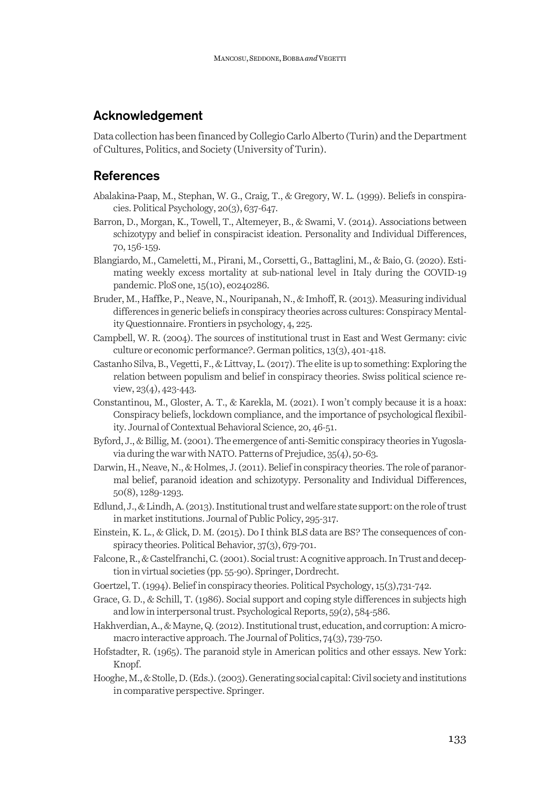### Acknowledgement

Data collection has been financed by Collegio Carlo Alberto (Turin) and the Department of Cultures, Politics, and Society (University of Turin).

### **References**

- Abalakina-Paap, M., Stephan, W. G., Craig, T., & Gregory, W. L. (1999). Beliefs in conspiracies. Political Psychology, 20(3), 637-647.
- Barron, D., Morgan, K., Towell, T., Altemeyer, B., & Swami, V. (2014). Associations between schizotypy and belief in conspiracist ideation. Personality and Individual Differences, 70, 156-159.
- Blangiardo, M., Cameletti, M., Pirani, M., Corsetti, G., Battaglini, M., & Baio, G. (2020). Estimating weekly excess mortality at sub-national level in Italy during the COVID-19 pandemic. PloS one, 15(10), e0240286.
- Bruder, M., Haffke, P., Neave, N., Nouripanah, N., & Imhoff, R. (2013). Measuring individual differences in generic beliefs in conspiracy theories across cultures: Conspiracy Mentality Questionnaire. Frontiers in psychology, 4, 225.
- Campbell, W. R. (2004). The sources of institutional trust in East and West Germany: civic culture or economic performance?. German politics, 13(3), 401-418.
- Castanho Silva, B., Vegetti, F., & Littvay, L. (2017). The elite is up to something: Exploring the relation between populism and belief in conspiracy theories. Swiss political science review, 23(4), 423-443.
- Constantinou, M., Gloster, A. T., & Karekla, M. (2021). I won't comply because it is a hoax: Conspiracy beliefs, lockdown compliance, and the importance of psychological flexibility. Journal of Contextual Behavioral Science, 20, 46-51.
- Byford, J., & Billig, M. (2001). The emergence of anti-Semitic conspiracy theories in Yugoslavia during the war with NATO. Patterns of Prejudice, 35(4), 50-63.
- Darwin, H., Neave, N., & Holmes, J. (2011). Belief in conspiracy theories. The role of paranormal belief, paranoid ideation and schizotypy. Personality and Individual Differences, 50(8), 1289-1293.
- Edlund, J., & Lindh, A. (2013). Institutional trust and welfare state support: on the role of trust in market institutions. Journal of Public Policy, 295-317.
- Einstein, K. L., & Glick, D. M. (2015). Do I think BLS data are BS? The consequences of conspiracy theories. Political Behavior, 37(3), 679-701.
- Falcone, R., & Castelfranchi, C. (2001). Social trust: A cognitive approach. In Trust and deception in virtual societies (pp. 55-90). Springer, Dordrecht.
- Goertzel, T. (1994). Belief in conspiracy theories. Political Psychology, 15(3),731-742.
- Grace, G. D., & Schill, T. (1986). Social support and coping style differences in subjects high and low in interpersonal trust. Psychological Reports, 59(2), 584-586.
- Hakhverdian, A., & Mayne, Q.(2012). Institutional trust, education, and corruption: A micromacro interactive approach. The Journal of Politics, 74(3), 739-750.
- Hofstadter, R. (1965). The paranoid style in American politics and other essays. New York: Knopf.
- Hooghe, M., & Stolle, D.(Eds.). (2003). Generating social capital: Civil society and institutions in comparative perspective. Springer.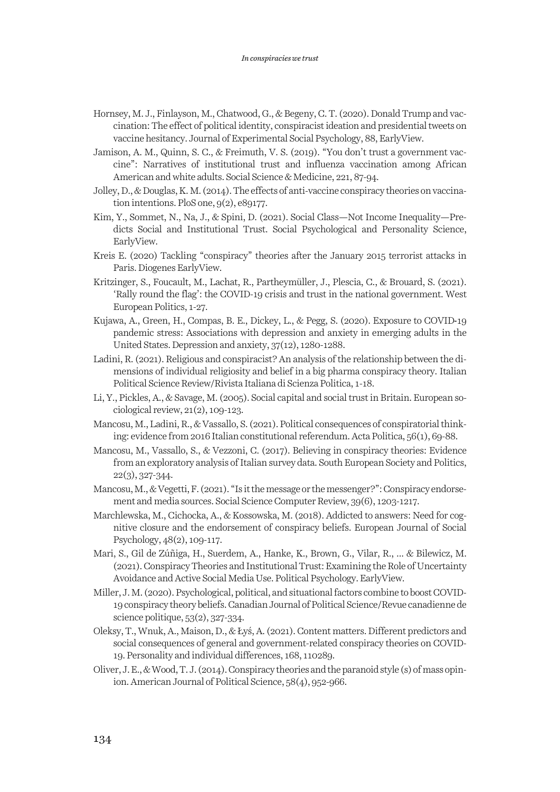- Hornsey, M. J., Finlayson, M., Chatwood, G., & Begeny, C. T. (2020). Donald Trump and vaccination: The effect of political identity, conspiracist ideation and presidential tweets on vaccine hesitancy. Journal of Experimental Social Psychology, 88, EarlyView.
- Jamison, A. M., Quinn, S. C., & Freimuth, V. S. (2019). "You don't trust a government vaccine": Narratives of institutional trust and influenza vaccination among African American and white adults. Social Science & Medicine, 221, 87-94.
- Jolley, D., & Douglas, K. M. (2014). The effects of anti-vaccine conspiracy theories on vaccination intentions. PloS one, 9(2), e89177.
- Kim, Y., Sommet, N., Na, J., & Spini, D. (2021). Social Class—Not Income Inequality—Predicts Social and Institutional Trust. Social Psychological and Personality Science, EarlyView.
- Kreis E. (2020) Tackling "conspiracy" theories after the January 2015 terrorist attacks in Paris. Diogenes EarlyView.
- Kritzinger, S., Foucault, M., Lachat, R., Partheymüller, J., Plescia, C., & Brouard, S. (2021). 'Rally round the flag': the COVID-19 crisis and trust in the national government. West European Politics, 1-27.
- Kujawa, A., Green, H., Compas, B. E., Dickey, L., & Pegg, S. (2020). Exposure to COVID-19 pandemic stress: Associations with depression and anxiety in emerging adults in the United States. Depression and anxiety, 37(12), 1280-1288.
- Ladini, R. (2021). Religious and conspiracist? An analysis of the relationship between the dimensions of individual religiosity and belief in a big pharma conspiracy theory. Italian Political Science Review/Rivista Italiana di Scienza Politica, 1-18.
- Li, Y., Pickles, A., & Savage, M. (2005). Social capital and social trust in Britain. European sociological review, 21(2), 109-123.
- Mancosu, M., Ladini, R., & Vassallo, S. (2021). Political consequences of conspiratorial thinking: evidence from 2016 Italian constitutional referendum. Acta Politica, 56(1), 69-88.
- Mancosu, M., Vassallo, S., & Vezzoni, C. (2017). Believing in conspiracy theories: Evidence from an exploratory analysis of Italian survey data. South European Society and Politics, 22(3), 327-344.
- Mancosu, M., & Vegetti, F. (2021). "Is it the message or the messenger?": Conspiracy endorsement and media sources. Social Science Computer Review, 39(6), 1203-1217.
- Marchlewska, M., Cichocka, A., & Kossowska, M. (2018). Addicted to answers: Need for cognitive closure and the endorsement of conspiracy beliefs. European Journal of Social Psychology, 48(2), 109-117.
- Mari, S., Gil de Zúñiga, H., Suerdem, A., Hanke, K., Brown, G., Vilar, R., ... & Bilewicz, M. (2021). Conspiracy Theories and Institutional Trust: Examining the Role of Uncertainty Avoidance and Active Social Media Use. Political Psychology. EarlyView.
- Miller, J. M. (2020). Psychological, political, and situational factors combine to boost COVID-19 conspiracy theory beliefs. Canadian Journal of Political Science/Revue canadienne de science politique, 53(2), 327-334.
- Oleksy, T., Wnuk, A., Maison, D., & Łyś, A. (2021). Content matters. Different predictors and social consequences of general and government-related conspiracy theories on COVID-19. Personality and individual differences, 168, 110289.
- Oliver, J. E., & Wood, T. J. (2014). Conspiracy theories and the paranoid style (s) of mass opinion. American Journal of Political Science, 58(4), 952-966.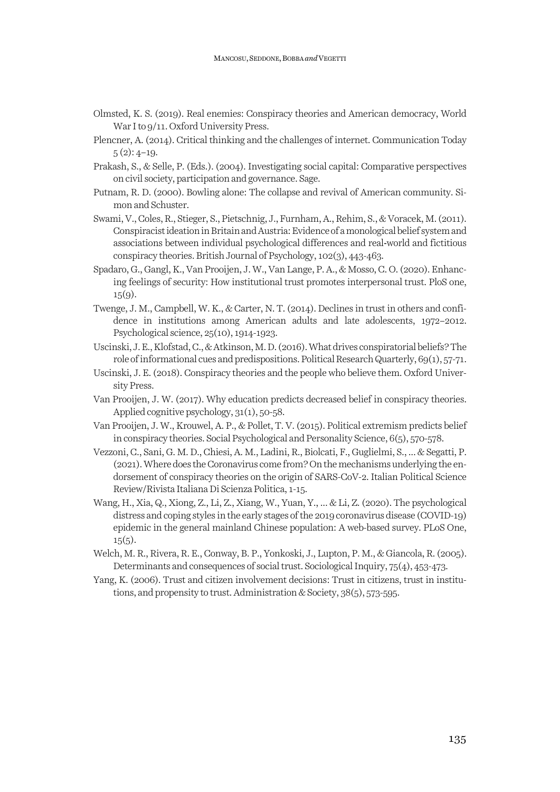- Olmsted, K. S. (2019). Real enemies: Conspiracy theories and American democracy, World War I to  $9/11$ . Oxford University Press.
- Plencner, A. (2014). Critical thinking and the challenges of internet. Communication Today  $5(2): 4-19.$
- Prakash, S., & Selle, P. (Eds.). (2004). Investigating social capital: Comparative perspectives on civil society, participation and governance. Sage.
- Putnam, R. D. (2000). Bowling alone: The collapse and revival of American community. Simon and Schuster.
- Swami, V., Coles, R., Stieger, S., Pietschnig, J., Furnham, A., Rehim, S., & Voracek, M. (2011). Conspiracist ideation in Britain and Austria: Evidence of a monological belief system and associations between individual psychological differences and real-world and fictitious conspiracy theories. British Journal of Psychology, 102(3), 443-463.
- Spadaro, G., Gangl, K., Van Prooijen, J. W., Van Lange, P. A., & Mosso, C. O. (2020). Enhancing feelings of security: How institutional trust promotes interpersonal trust. PloS one,  $15(9)$ .
- Twenge, J. M., Campbell, W. K., & Carter, N. T. (2014). Declines in trust in others and confidence in institutions among American adults and late adolescents, 1972–2012. Psychological science, 25(10), 1914-1923.
- Uscinski, J. E., Klofstad, C., & Atkinson, M. D. (2016). What drives conspiratorial beliefs? The role of informational cues and predispositions. Political Research Quarterly, 69(1), 57-71.
- Uscinski, J. E. (2018). Conspiracy theories and the people who believe them. Oxford University Press.
- Van Prooijen, J. W. (2017). Why education predicts decreased belief in conspiracy theories. Applied cognitive psychology, 31(1), 50-58.
- Van Prooijen, J. W., Krouwel, A. P., & Pollet, T. V. (2015). Political extremism predicts belief in conspiracy theories. Social Psychological and Personality Science, 6(5), 570-578.
- Vezzoni, C., Sani, G. M. D., Chiesi, A. M., Ladini, R., Biolcati, F., Guglielmi, S., ... & Segatti, P. (2021). Where does the Coronavirus come from? On the mechanisms underlying the endorsement of conspiracy theories on the origin of SARS-CoV-2. Italian Political Science Review/Rivista Italiana Di Scienza Politica, 1-15.
- Wang, H., Xia, Q., Xiong, Z., Li, Z., Xiang, W., Yuan, Y., ... & Li, Z. (2020). The psychological distress and coping styles in the early stages of the 2019 coronavirus disease (COVID-19) epidemic in the general mainland Chinese population: A web-based survey. PLoS One,  $15(5)$ .
- Welch, M. R., Rivera, R. E., Conway, B. P., Yonkoski, J., Lupton, P. M., & Giancola, R. (2005). Determinants and consequences of social trust. Sociological Inquiry, 75(4), 453-473.
- Yang, K. (2006). Trust and citizen involvement decisions: Trust in citizens, trust in institutions, and propensity to trust. Administration & Society, 38(5), 573-595.